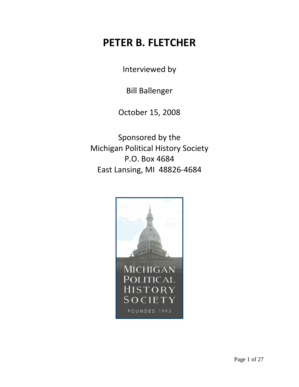## **PETER B. FLETCHER**

Interviewed by

Bill Ballenger

October 15, 2008

Sponsored by the Michigan Political History Society P.O. Box 4684 East Lansing, MI 48826-4684

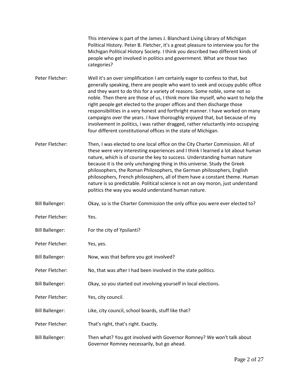This interview is part of the James J. Blanchard Living Library of Michigan Political History. Peter B. Fletcher, it's a great pleasure to interview you for the Michigan Political History Society. I think you described two different kinds of people who get involved in politics and government. What are those two categories?

Peter Fletcher: Well it's an over simplification I am certainly eager to confess to that, but generally speaking, there are people who want to seek and occupy public office and they want to do this for a variety of reasons. Some noble, some not so noble. Then there are those of us, I think more like myself, who want to help the right people get elected to the proper offices and then discharge those responsibilities in a very honest and forthright manner. I have worked on many campaigns over the years. I have thoroughly enjoyed that, but because of my involvement in politics, I was rather dragged, rather reluctantly into occupying four different constitutional offices in the state of Michigan.

- Peter Fletcher: Then, I was elected to one local office on the City Charter Commission. All of these were very interesting experiences and I think I learned a lot about human nature, which is of course the key to success. Understanding human nature because it is the only unchanging thing in this universe. Study the Greek philosophers, the Roman Philosophers, the German philosophers, English philosophers, French philosophers, all of them have a constant theme. Human nature is so predictable. Political science is not an oxy moron, just understand politics the way you would understand human nature.
- Bill Ballenger: Okay, so is the Charter Commission the only office you were ever elected to?
- Peter Fletcher: Yes.
- Bill Ballenger: For the city of Ypsilanti?
- Peter Fletcher: Yes, yes.
- Bill Ballenger: Now, was that before you got involved?
- Peter Fletcher: No, that was after I had been involved in the state politics.
- Bill Ballenger: Okay, so you started out involving yourself in local elections.
- Peter Fletcher: Yes, city council.
- Bill Ballenger: Like, city council, school boards, stuff like that?
- Peter Fletcher: That's right, that's right. Exactly.
- Bill Ballenger: Then what? You got involved with Governor Romney? We won't talk about Governor Romney necessarily, but go ahead.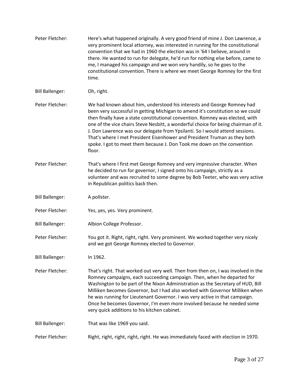| Peter Fletcher:        | Here's what happened originally. A very good friend of mine J. Don Lawrence, a<br>very prominent local attorney, was interested in running for the constitutional<br>convention that we had in 1960 the election was in '64 I believe, around in<br>there. He wanted to run for delegate, he'd run for nothing else before, came to<br>me, I managed his campaign and we won very handily, so he goes to the<br>constitutional convention. There is where we meet George Romney for the first<br>time.                                                                             |
|------------------------|------------------------------------------------------------------------------------------------------------------------------------------------------------------------------------------------------------------------------------------------------------------------------------------------------------------------------------------------------------------------------------------------------------------------------------------------------------------------------------------------------------------------------------------------------------------------------------|
| <b>Bill Ballenger:</b> | Oh, right.                                                                                                                                                                                                                                                                                                                                                                                                                                                                                                                                                                         |
| Peter Fletcher:        | We had known about him, understood his interests and George Romney had<br>been very successful in getting Michigan to amend it's constitution so we could<br>then finally have a state constitutional convention. Romney was elected, with<br>one of the vice chairs Steve Nesbitt, a wonderful choice for being chairman of it.<br>J. Don Lawrence was our delegate from Ypsilanti. So I would attend sessions.<br>That's where I met President Eisenhower and President Truman as they both<br>spoke. I got to meet them because J. Don Took me down on the convention<br>floor. |
| Peter Fletcher:        | That's where I first met George Romney and very impressive character. When<br>he decided to run for governor, I signed onto his campaign, strictly as a<br>volunteer and was recruited to some degree by Bob Teeter, who was very active<br>in Republican politics back then.                                                                                                                                                                                                                                                                                                      |
| <b>Bill Ballenger:</b> | A pollster.                                                                                                                                                                                                                                                                                                                                                                                                                                                                                                                                                                        |
| Peter Fletcher:        | Yes, yes, yes. Very prominent.                                                                                                                                                                                                                                                                                                                                                                                                                                                                                                                                                     |
| <b>Bill Ballenger:</b> | Albion College Professor.                                                                                                                                                                                                                                                                                                                                                                                                                                                                                                                                                          |
| Peter Fletcher:        | You got it. Right, right, right. Very prominent. We worked together very nicely<br>and we got George Romney elected to Governor.                                                                                                                                                                                                                                                                                                                                                                                                                                                   |
| <b>Bill Ballenger:</b> | In 1962.                                                                                                                                                                                                                                                                                                                                                                                                                                                                                                                                                                           |
| Peter Fletcher:        | That's right. That worked out very well. Then from then on, I was involved in the<br>Romney campaigns, each succeeding campaign. Then, when he departed for<br>Washington to be part of the Nixon Administration as the Secretary of HUD, Bill<br>Milliken becomes Governor, but I had also worked with Governor Milliken when<br>he was running for Lieutenant Governor. I was very active in that campaign.<br>Once he becomes Governor, I'm even more involved because he needed some<br>very quick additions to his kitchen cabinet.                                           |
| <b>Bill Ballenger:</b> | That was like 1969 you said.                                                                                                                                                                                                                                                                                                                                                                                                                                                                                                                                                       |
| Peter Fletcher:        | Right, right, right, right, right. He was immediately faced with election in 1970.                                                                                                                                                                                                                                                                                                                                                                                                                                                                                                 |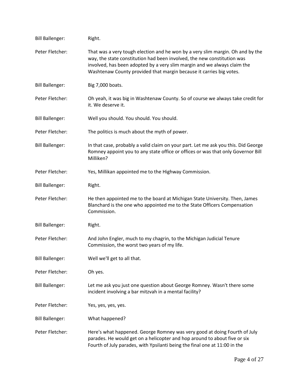| <b>Bill Ballenger:</b> | Right.                                                                                                                                                                                                                                                                                                       |
|------------------------|--------------------------------------------------------------------------------------------------------------------------------------------------------------------------------------------------------------------------------------------------------------------------------------------------------------|
| Peter Fletcher:        | That was a very tough election and he won by a very slim margin. Oh and by the<br>way, the state constitution had been involved, the new constitution was<br>involved, has been adopted by a very slim margin and we always claim the<br>Washtenaw County provided that margin because it carries big votes. |
| <b>Bill Ballenger:</b> | Big 7,000 boats.                                                                                                                                                                                                                                                                                             |
| Peter Fletcher:        | Oh yeah, it was big in Washtenaw County. So of course we always take credit for<br>it. We deserve it.                                                                                                                                                                                                        |
| <b>Bill Ballenger:</b> | Well you should. You should. You should.                                                                                                                                                                                                                                                                     |
| Peter Fletcher:        | The politics is much about the myth of power.                                                                                                                                                                                                                                                                |
| <b>Bill Ballenger:</b> | In that case, probably a valid claim on your part. Let me ask you this. Did George<br>Romney appoint you to any state office or offices or was that only Governor Bill<br>Milliken?                                                                                                                          |
| Peter Fletcher:        | Yes, Millikan appointed me to the Highway Commission.                                                                                                                                                                                                                                                        |
| <b>Bill Ballenger:</b> | Right.                                                                                                                                                                                                                                                                                                       |
| Peter Fletcher:        | He then appointed me to the board at Michigan State University. Then, James<br>Blanchard is the one who appointed me to the State Officers Compensation<br>Commission.                                                                                                                                       |
| <b>Bill Ballenger:</b> | Right.                                                                                                                                                                                                                                                                                                       |
| Peter Fletcher:        | And John Engler, much to my chagrin, to the Michigan Judicial Tenure<br>Commission, the worst two years of my life.                                                                                                                                                                                          |
| <b>Bill Ballenger:</b> | Well we'll get to all that.                                                                                                                                                                                                                                                                                  |
| Peter Fletcher:        | Oh yes.                                                                                                                                                                                                                                                                                                      |
| <b>Bill Ballenger:</b> | Let me ask you just one question about George Romney. Wasn't there some<br>incident involving a bar mitzvah in a mental facility?                                                                                                                                                                            |
| Peter Fletcher:        | Yes, yes, yes, yes.                                                                                                                                                                                                                                                                                          |
| <b>Bill Ballenger:</b> | What happened?                                                                                                                                                                                                                                                                                               |
| Peter Fletcher:        | Here's what happened. George Romney was very good at doing Fourth of July<br>parades. He would get on a helicopter and hop around to about five or six<br>Fourth of July parades, with Ypsilanti being the final one at 11:00 in the                                                                         |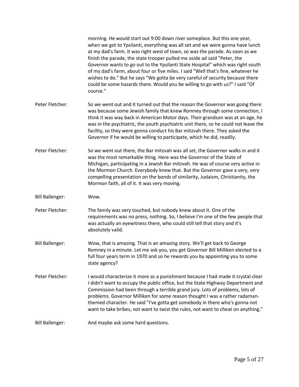|                        | morning. He would start out 9:00 down river someplace. But this one year,<br>when we got to Ypsilanti, everything was all set and we were gonna have lunch<br>at my dad's farm. It was right west of town, so was the parade. As soon as we<br>finish the parade, the state trooper pulled me aside ad said "Peter, the<br>Governor wants to go out to the Ypsilanti State Hospital" which was right south<br>of my dad's farm, about four or five miles. I said "Well that's fine, whatever he<br>wishes to do." But he says "We gotta be very careful of security because there<br>could be some hazards there. Would you be willing to go with us?" I said "Of<br>course." |
|------------------------|-------------------------------------------------------------------------------------------------------------------------------------------------------------------------------------------------------------------------------------------------------------------------------------------------------------------------------------------------------------------------------------------------------------------------------------------------------------------------------------------------------------------------------------------------------------------------------------------------------------------------------------------------------------------------------|
| Peter Fletcher:        | So we went out and it turned out that the reason the Governor was going there<br>was because some Jewish family that knew Romney through some connection, I<br>think it was way back in American Motor days. Their grandson was at an age, he<br>was in the psychiatric, the youth psychiatric unit there, so he could not leave the<br>facility, so they were gonna conduct his Bar mitzvah there. They asked the<br>Governor if he would be willing to participate, which he did, readily.                                                                                                                                                                                  |
| Peter Fletcher:        | So we went out there, the Bar mitzvah was all set, the Governor walks in and it<br>was the most remarkable thing. Here was the Governor of the State of<br>Michigan, participating in a Jewish Bar mitzvah. He was of course very active in<br>the Mormon Church. Everybody knew that. But the Governor gave a very, very<br>compelling presentation on the bonds of similarity, Judaism, Christianity, the<br>Mormon faith, all of it. It was very moving.                                                                                                                                                                                                                   |
| <b>Bill Ballenger:</b> | Wow.                                                                                                                                                                                                                                                                                                                                                                                                                                                                                                                                                                                                                                                                          |
| Peter Fletcher:        | The family was very touched, but nobody knew about it. One of the<br>requirements was no press, nothing. So, I believe I'm one of the few people that<br>was actually an eyewitness there, who could still tell that story and it's<br>absolutely valid.                                                                                                                                                                                                                                                                                                                                                                                                                      |
| <b>Bill Ballenger:</b> | Wow, that is amazing. That is an amazing story. We'll get back to George<br>Romney in a minute. Let me ask you, you get Governor Bill Milliken elected to a<br>full four years term in 1970 and so he rewards you by appointing you to some<br>state agency?                                                                                                                                                                                                                                                                                                                                                                                                                  |
| Peter Fletcher:        | I would characterize it more as a punishment because I had made it crystal clear<br>I didn't want to occupy the public office, but the State Highway Department and<br>Commission had been through a terrible grand jury. Lots of problems, lots of<br>problems. Governor Milliken for some reason thought I was a rather radaman-<br>themed character. He said "I've gotta get somebody in there who's gonna not<br>want to take bribes, not want to twist the rules, not want to cheat on anything."                                                                                                                                                                        |
| <b>Bill Ballenger:</b> | And maybe ask some hard questions.                                                                                                                                                                                                                                                                                                                                                                                                                                                                                                                                                                                                                                            |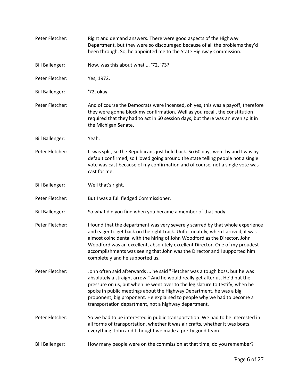| Peter Fletcher:        | Right and demand answers. There were good aspects of the Highway<br>Department, but they were so discouraged because of all the problems they'd<br>been through. So, he appointed me to the State Highway Commission.                                                                                                                                                                                                                                |
|------------------------|------------------------------------------------------------------------------------------------------------------------------------------------------------------------------------------------------------------------------------------------------------------------------------------------------------------------------------------------------------------------------------------------------------------------------------------------------|
| <b>Bill Ballenger:</b> | Now, was this about what  '72, '73?                                                                                                                                                                                                                                                                                                                                                                                                                  |
| Peter Fletcher:        | Yes, 1972.                                                                                                                                                                                                                                                                                                                                                                                                                                           |
| <b>Bill Ballenger:</b> | '72, okay.                                                                                                                                                                                                                                                                                                                                                                                                                                           |
| Peter Fletcher:        | And of course the Democrats were incensed, oh yes, this was a payoff, therefore<br>they were gonna block my confirmation. Well as you recall, the constitution<br>required that they had to act in 60 session days, but there was an even split in<br>the Michigan Senate.                                                                                                                                                                           |
| <b>Bill Ballenger:</b> | Yeah.                                                                                                                                                                                                                                                                                                                                                                                                                                                |
| Peter Fletcher:        | It was split, so the Republicans just held back. So 60 days went by and I was by<br>default confirmed, so I loved going around the state telling people not a single<br>vote was cast because of my confirmation and of course, not a single vote was<br>cast for me.                                                                                                                                                                                |
| <b>Bill Ballenger:</b> | Well that's right.                                                                                                                                                                                                                                                                                                                                                                                                                                   |
| Peter Fletcher:        | But I was a full fledged Commissioner.                                                                                                                                                                                                                                                                                                                                                                                                               |
| <b>Bill Ballenger:</b> | So what did you find when you became a member of that body.                                                                                                                                                                                                                                                                                                                                                                                          |
| Peter Fletcher:        | I found that the department was very severely scarred by that whole experience<br>and eager to get back on the right track. Unfortunately, when I arrived, it was<br>almost coincidental with the hiring of John Woodford as the Director. John<br>Woodford was an excellent, absolutely excellent Director. One of my proudest<br>accomplishments was seeing that John was the Director and I supported him<br>completely and he supported us.      |
| Peter Fletcher:        | John often said afterwards  he said "Fletcher was a tough boss, but he was<br>absolutely a straight arrow." And he would really get after us. He'd put the<br>pressure on us, but when he went over to the legislature to testify, when he<br>spoke in public meetings about the Highway Department, he was a big<br>proponent, big proponent. He explained to people why we had to become a<br>transportation department, not a highway department. |
| Peter Fletcher:        | So we had to be interested in public transportation. We had to be interested in<br>all forms of transportation, whether it was air crafts, whether it was boats,<br>everything. John and I thought we made a pretty good team.                                                                                                                                                                                                                       |
| <b>Bill Ballenger:</b> | How many people were on the commission at that time, do you remember?                                                                                                                                                                                                                                                                                                                                                                                |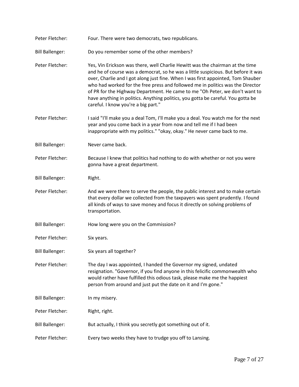| Peter Fletcher:        | Four. There were two democrats, two republicans.                                                                                                                                                                                                                                                                                                                                                                                                                                                                                                   |
|------------------------|----------------------------------------------------------------------------------------------------------------------------------------------------------------------------------------------------------------------------------------------------------------------------------------------------------------------------------------------------------------------------------------------------------------------------------------------------------------------------------------------------------------------------------------------------|
| <b>Bill Ballenger:</b> | Do you remember some of the other members?                                                                                                                                                                                                                                                                                                                                                                                                                                                                                                         |
| Peter Fletcher:        | Yes, Vin Erickson was there, well Charlie Hewitt was the chairman at the time<br>and he of course was a democrat, so he was a little suspicious. But before it was<br>over, Charlie and I got along just fine. When I was first appointed, Tom Shauber<br>who had worked for the free press and followed me in politics was the Director<br>of PR for the Highway Department. He came to me "Oh Peter, we don't want to<br>have anything in politics. Anything politics, you gotta be careful. You gotta be<br>careful. I know you're a big part." |
| Peter Fletcher:        | I said "I'll make you a deal Tom, I'll make you a deal. You watch me for the next<br>year and you come back in a year from now and tell me if I had been<br>inappropriate with my politics." "okay, okay." He never came back to me.                                                                                                                                                                                                                                                                                                               |
| <b>Bill Ballenger:</b> | Never came back.                                                                                                                                                                                                                                                                                                                                                                                                                                                                                                                                   |
| Peter Fletcher:        | Because I knew that politics had nothing to do with whether or not you were<br>gonna have a great department.                                                                                                                                                                                                                                                                                                                                                                                                                                      |
| <b>Bill Ballenger:</b> | Right.                                                                                                                                                                                                                                                                                                                                                                                                                                                                                                                                             |
| Peter Fletcher:        | And we were there to serve the people, the public interest and to make certain<br>that every dollar we collected from the taxpayers was spent prudently. I found<br>all kinds of ways to save money and focus it directly on solving problems of<br>transportation.                                                                                                                                                                                                                                                                                |
| <b>Bill Ballenger:</b> | How long were you on the Commission?                                                                                                                                                                                                                                                                                                                                                                                                                                                                                                               |
| Peter Fletcher:        | Six years.                                                                                                                                                                                                                                                                                                                                                                                                                                                                                                                                         |
| <b>Bill Ballenger:</b> | Six years all together?                                                                                                                                                                                                                                                                                                                                                                                                                                                                                                                            |
| Peter Fletcher:        | The day I was appointed, I handed the Governor my signed, undated<br>resignation. "Governor, if you find anyone in this felicific commonwealth who<br>would rather have fulfilled this odious task, please make me the happiest<br>person from around and just put the date on it and I'm gone."                                                                                                                                                                                                                                                   |
| <b>Bill Ballenger:</b> | In my misery.                                                                                                                                                                                                                                                                                                                                                                                                                                                                                                                                      |
| Peter Fletcher:        | Right, right.                                                                                                                                                                                                                                                                                                                                                                                                                                                                                                                                      |
| <b>Bill Ballenger:</b> | But actually, I think you secretly got something out of it.                                                                                                                                                                                                                                                                                                                                                                                                                                                                                        |
| Peter Fletcher:        | Every two weeks they have to trudge you off to Lansing.                                                                                                                                                                                                                                                                                                                                                                                                                                                                                            |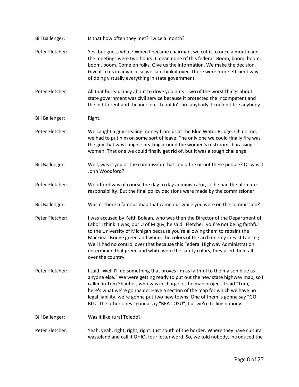| <b>Bill Ballenger:</b> | Is that how often they met? Twice a month?                                                                                                                                                                                                                                                                                                                                                                                                                                                                            |
|------------------------|-----------------------------------------------------------------------------------------------------------------------------------------------------------------------------------------------------------------------------------------------------------------------------------------------------------------------------------------------------------------------------------------------------------------------------------------------------------------------------------------------------------------------|
| Peter Fletcher:        | Yes, but guess what? When I became chairman, we cut it to once a month and<br>the meetings were two hours. I mean none of this federal. Boom, boom, boom,<br>boom, boom. Come on folks. Give us the information. We make the decision.<br>Give it to us in advance so we can think it over. There were more efficient ways<br>of doing virtually everything in state government.                                                                                                                                      |
| Peter Fletcher:        | All that bureaucracy about to drive you nuts. Two of the worst things about<br>state government was civil service because it protected the incompetent and<br>the indifferent and the indolent. I couldn't fire anybody. I couldn't fire anybody.                                                                                                                                                                                                                                                                     |
| <b>Bill Ballenger:</b> | Right.                                                                                                                                                                                                                                                                                                                                                                                                                                                                                                                |
| Peter Fletcher:        | We caught a guy stealing money from us at the Blue Water Bridge. Oh no, no,<br>we had to put him on some sort of leave. The only one we could finally fire was<br>the guy that was caught sneaking around the women's restrooms harassing<br>women. That one we could finally get rid of, but it was a tough challenge.                                                                                                                                                                                               |
| <b>Bill Ballenger:</b> | Well, was it you or the commission that could fire or not these people? Or was it<br>John Woodford?                                                                                                                                                                                                                                                                                                                                                                                                                   |
| Peter Fletcher:        | Woodford was of course the day to day administrator, so he had the ultimate<br>responsibility. But the final policy decisions were made by the commissioner.                                                                                                                                                                                                                                                                                                                                                          |
| <b>Bill Ballenger:</b> | Wasn't there a famous map that came out while you were on the commission?                                                                                                                                                                                                                                                                                                                                                                                                                                             |
| Peter Fletcher:        | I was accused by Keith Bolean, who was then the Director of the Department of<br>Labor I think it was, our U of M guy, he said "Fletcher, you're not being faithful<br>to the University of Michigan because you're allowing them to repaint the<br>Mackinac Bridge green and white, the colors of the arch enemy in East Lansing."<br>Well I had no control over that because this Federal Highway Administration<br>determined that green and white were the safety colors, they used them all<br>over the country. |
| Peter Fletcher:        | I said "Well I'll do something that proves I'm as faithful to the maison blue as<br>anyone else." We were getting ready to put out the new state highway map, so I<br>called in Tom Shauber, who was in charge of the map project. I said "Tom,<br>here's what we're gonna do. Have a section of the map for which we have no<br>legal liability, we're gonna put two new towns. One of them is gonna say "GO<br>BLU" the other ones I gonna say "BEAT OSU", but we're telling nobody.                                |
| <b>Bill Ballenger:</b> | Was it like rural Toledo?                                                                                                                                                                                                                                                                                                                                                                                                                                                                                             |
| Peter Fletcher:        | Yeah, yeah, right, right, right. Just south of the border. Where they have cultural<br>wasteland and call it OHIO, four letter word. So, we told nobody, introduced the                                                                                                                                                                                                                                                                                                                                               |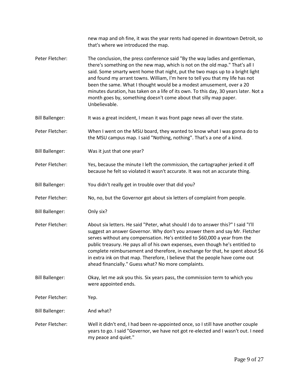|                        | new map and oh fine, it was the year rents had opened in downtown Detroit, so<br>that's where we introduced the map.                                                                                                                                                                                                                                                                                                                                                                                                                                                                |
|------------------------|-------------------------------------------------------------------------------------------------------------------------------------------------------------------------------------------------------------------------------------------------------------------------------------------------------------------------------------------------------------------------------------------------------------------------------------------------------------------------------------------------------------------------------------------------------------------------------------|
| Peter Fletcher:        | The conclusion, the press conference said "By the way ladies and gentleman,<br>there's something on the new map, which is not on the old map." That's all I<br>said. Some smarty went home that night, put the two maps up to a bright light<br>and found my arrant towns. William, I'm here to tell you that my life has not<br>been the same. What I thought would be a modest amusement, over a 20<br>minutes duration, has taken on a life of its own. To this day, 30 years later. Not a<br>month goes by, something doesn't come about that silly map paper.<br>Unbelievable. |
| <b>Bill Ballenger:</b> | It was a great incident, I mean it was front page news all over the state.                                                                                                                                                                                                                                                                                                                                                                                                                                                                                                          |
| Peter Fletcher:        | When I went on the MSU board, they wanted to know what I was gonna do to<br>the MSU campus map. I said "Nothing, nothing". That's a one of a kind.                                                                                                                                                                                                                                                                                                                                                                                                                                  |
| <b>Bill Ballenger:</b> | Was it just that one year?                                                                                                                                                                                                                                                                                                                                                                                                                                                                                                                                                          |
| Peter Fletcher:        | Yes, because the minute I left the commission, the cartographer jerked it off<br>because he felt so violated it wasn't accurate. It was not an accurate thing.                                                                                                                                                                                                                                                                                                                                                                                                                      |
| <b>Bill Ballenger:</b> | You didn't really get in trouble over that did you?                                                                                                                                                                                                                                                                                                                                                                                                                                                                                                                                 |
| Peter Fletcher:        | No, no, but the Governor got about six letters of complaint from people.                                                                                                                                                                                                                                                                                                                                                                                                                                                                                                            |
| <b>Bill Ballenger:</b> | Only six?                                                                                                                                                                                                                                                                                                                                                                                                                                                                                                                                                                           |
| Peter Fletcher:        | About six letters. He said "Peter, what should I do to answer this?" I said "I'll<br>suggest an answer Governor. Why don't you answer them and say Mr. Fletcher<br>serves without any compensation. He's entitled to \$60,000 a year from the<br>public treasury. He pays all of his own expenses, even though he's entitled to<br>complete reimbursement and therefore, in exchange for that, he spent about \$6<br>in extra ink on that map. Therefore, I believe that the people have come out<br>ahead financially." Guess what? No more complaints.                            |
| <b>Bill Ballenger:</b> | Okay, let me ask you this. Six years pass, the commission term to which you<br>were appointed ends.                                                                                                                                                                                                                                                                                                                                                                                                                                                                                 |
| Peter Fletcher:        | Yep.                                                                                                                                                                                                                                                                                                                                                                                                                                                                                                                                                                                |
| <b>Bill Ballenger:</b> | And what?                                                                                                                                                                                                                                                                                                                                                                                                                                                                                                                                                                           |
| Peter Fletcher:        | Well it didn't end, I had been re-appointed once, so I still have another couple<br>years to go. I said "Governor, we have not got re-elected and I wasn't out. I need<br>my peace and quiet."                                                                                                                                                                                                                                                                                                                                                                                      |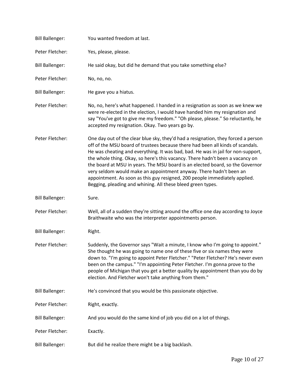| <b>Bill Ballenger:</b> | You wanted freedom at last.                                                                                                                                                                                                                                                                                                                                                                                                                                                                                                                                                                                                                  |
|------------------------|----------------------------------------------------------------------------------------------------------------------------------------------------------------------------------------------------------------------------------------------------------------------------------------------------------------------------------------------------------------------------------------------------------------------------------------------------------------------------------------------------------------------------------------------------------------------------------------------------------------------------------------------|
| Peter Fletcher:        | Yes, please, please.                                                                                                                                                                                                                                                                                                                                                                                                                                                                                                                                                                                                                         |
| <b>Bill Ballenger:</b> | He said okay, but did he demand that you take something else?                                                                                                                                                                                                                                                                                                                                                                                                                                                                                                                                                                                |
| Peter Fletcher:        | No, no, no.                                                                                                                                                                                                                                                                                                                                                                                                                                                                                                                                                                                                                                  |
| <b>Bill Ballenger:</b> | He gave you a hiatus.                                                                                                                                                                                                                                                                                                                                                                                                                                                                                                                                                                                                                        |
| Peter Fletcher:        | No, no, here's what happened. I handed in a resignation as soon as we knew we<br>were re-elected in the election, I would have handed him my resignation and<br>say "You've got to give me my freedom." "Oh please, please." So reluctantly, he<br>accepted my resignation. Okay. Two years go by.                                                                                                                                                                                                                                                                                                                                           |
| Peter Fletcher:        | One day out of the clear blue sky, they'd had a resignation, they forced a person<br>off of the MSU board of trustees because there had been all kinds of scandals.<br>He was cheating and everything. It was bad, bad. He was in jail for non-support,<br>the whole thing. Okay, so here's this vacancy. There hadn't been a vacancy on<br>the board at MSU in years. The MSU board is an elected board, so the Governor<br>very seldom would make an appointment anyway. There hadn't been an<br>appointment. As soon as this guy resigned, 200 people immediately applied.<br>Begging, pleading and whining. All these bleed green types. |
|                        |                                                                                                                                                                                                                                                                                                                                                                                                                                                                                                                                                                                                                                              |
| <b>Bill Ballenger:</b> | Sure.                                                                                                                                                                                                                                                                                                                                                                                                                                                                                                                                                                                                                                        |
| Peter Fletcher:        | Well, all of a sudden they're sitting around the office one day according to Joyce<br>Braithwaite who was the interpreter appointments person.                                                                                                                                                                                                                                                                                                                                                                                                                                                                                               |
| <b>Bill Ballenger:</b> | Right.                                                                                                                                                                                                                                                                                                                                                                                                                                                                                                                                                                                                                                       |
| Peter Fletcher:        | Suddenly, the Governor says "Wait a minute, I know who I'm going to appoint."<br>She thought he was going to name one of these five or six names they were<br>down to. "I'm going to appoint Peter Fletcher." "Peter Fletcher? He's never even<br>been on the campus." "I'm appointing Peter Fletcher. I'm gonna prove to the<br>people of Michigan that you get a better quality by appointment than you do by<br>election. And Fletcher won't take anything from them."                                                                                                                                                                    |
| <b>Bill Ballenger:</b> | He's convinced that you would be this passionate objective.                                                                                                                                                                                                                                                                                                                                                                                                                                                                                                                                                                                  |
| Peter Fletcher:        | Right, exactly.                                                                                                                                                                                                                                                                                                                                                                                                                                                                                                                                                                                                                              |
| <b>Bill Ballenger:</b> | And you would do the same kind of job you did on a lot of things.                                                                                                                                                                                                                                                                                                                                                                                                                                                                                                                                                                            |
| Peter Fletcher:        | Exactly.                                                                                                                                                                                                                                                                                                                                                                                                                                                                                                                                                                                                                                     |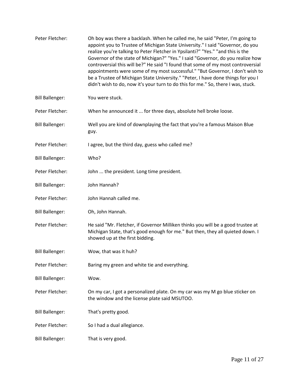| Peter Fletcher:        | Oh boy was there a backlash. When he called me, he said "Peter, I'm going to<br>appoint you to Trustee of Michigan State University." I said "Governor, do you<br>realize you're talking to Peter Fletcher in Ypsilanti?" "Yes." "and this is the<br>Governor of the state of Michigan?" "Yes." I said "Governor, do you realize how<br>controversial this will be?" He said "I found that some of my most controversial<br>appointments were some of my most successful." "But Governor, I don't wish to<br>be a Trustee of Michigan State University." "Peter, I have done things for you I<br>didn't wish to do, now it's your turn to do this for me." So, there I was, stuck. |
|------------------------|------------------------------------------------------------------------------------------------------------------------------------------------------------------------------------------------------------------------------------------------------------------------------------------------------------------------------------------------------------------------------------------------------------------------------------------------------------------------------------------------------------------------------------------------------------------------------------------------------------------------------------------------------------------------------------|
| <b>Bill Ballenger:</b> | You were stuck.                                                                                                                                                                                                                                                                                                                                                                                                                                                                                                                                                                                                                                                                    |
| Peter Fletcher:        | When he announced it  for three days, absolute hell broke loose.                                                                                                                                                                                                                                                                                                                                                                                                                                                                                                                                                                                                                   |
| <b>Bill Ballenger:</b> | Well you are kind of downplaying the fact that you're a famous Maison Blue<br>guy.                                                                                                                                                                                                                                                                                                                                                                                                                                                                                                                                                                                                 |
| Peter Fletcher:        | I agree, but the third day, guess who called me?                                                                                                                                                                                                                                                                                                                                                                                                                                                                                                                                                                                                                                   |
| <b>Bill Ballenger:</b> | Who?                                                                                                                                                                                                                                                                                                                                                                                                                                                                                                                                                                                                                                                                               |
| Peter Fletcher:        | John  the president. Long time president.                                                                                                                                                                                                                                                                                                                                                                                                                                                                                                                                                                                                                                          |
| <b>Bill Ballenger:</b> | John Hannah?                                                                                                                                                                                                                                                                                                                                                                                                                                                                                                                                                                                                                                                                       |
| Peter Fletcher:        | John Hannah called me.                                                                                                                                                                                                                                                                                                                                                                                                                                                                                                                                                                                                                                                             |
| <b>Bill Ballenger:</b> | Oh, John Hannah.                                                                                                                                                                                                                                                                                                                                                                                                                                                                                                                                                                                                                                                                   |
| Peter Fletcher:        | He said "Mr. Fletcher, if Governor Milliken thinks you will be a good trustee at<br>Michigan State, that's good enough for me." But then, they all quieted down. I<br>showed up at the first bidding.                                                                                                                                                                                                                                                                                                                                                                                                                                                                              |
| <b>Bill Ballenger:</b> | Wow, that was it huh?                                                                                                                                                                                                                                                                                                                                                                                                                                                                                                                                                                                                                                                              |
| Peter Fletcher:        | Baring my green and white tie and everything.                                                                                                                                                                                                                                                                                                                                                                                                                                                                                                                                                                                                                                      |
| <b>Bill Ballenger:</b> | Wow.                                                                                                                                                                                                                                                                                                                                                                                                                                                                                                                                                                                                                                                                               |
| Peter Fletcher:        | On my car, I got a personalized plate. On my car was my M go blue sticker on<br>the window and the license plate said MSUTOO.                                                                                                                                                                                                                                                                                                                                                                                                                                                                                                                                                      |
| <b>Bill Ballenger:</b> | That's pretty good.                                                                                                                                                                                                                                                                                                                                                                                                                                                                                                                                                                                                                                                                |
| Peter Fletcher:        | So I had a dual allegiance.                                                                                                                                                                                                                                                                                                                                                                                                                                                                                                                                                                                                                                                        |
| <b>Bill Ballenger:</b> | That is very good.                                                                                                                                                                                                                                                                                                                                                                                                                                                                                                                                                                                                                                                                 |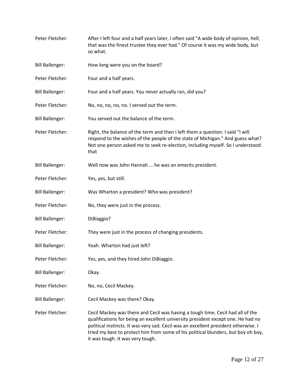| Peter Fletcher:        | After I left four and a half years later, I often said "A wide body of opinion, hell,<br>that was the finest trustee they ever had." Of course it was my wide body, but<br>so what.                                                                                                                                                                                                |
|------------------------|------------------------------------------------------------------------------------------------------------------------------------------------------------------------------------------------------------------------------------------------------------------------------------------------------------------------------------------------------------------------------------|
| <b>Bill Ballenger:</b> | How long were you on the board?                                                                                                                                                                                                                                                                                                                                                    |
| Peter Fletcher:        | Four and a half years.                                                                                                                                                                                                                                                                                                                                                             |
| <b>Bill Ballenger:</b> | Four and a half years. You never actually ran, did you?                                                                                                                                                                                                                                                                                                                            |
| Peter Fletcher:        | No, no, no, no, no. I served out the term.                                                                                                                                                                                                                                                                                                                                         |
| <b>Bill Ballenger:</b> | You served out the balance of the term.                                                                                                                                                                                                                                                                                                                                            |
| Peter Fletcher:        | Right, the balance of the term and then I left them a question. I said "I will<br>respond to the wishes of the people of the state of Michigan." And guess what?<br>Not one person asked me to seek re-election, including myself. So I understood<br>that                                                                                                                         |
| <b>Bill Ballenger:</b> | Well now was John Hannah  he was an emerits president.                                                                                                                                                                                                                                                                                                                             |
| Peter Fletcher:        | Yes, yes, but still.                                                                                                                                                                                                                                                                                                                                                               |
| <b>Bill Ballenger:</b> | Was Wharton a president? Who was president?                                                                                                                                                                                                                                                                                                                                        |
| Peter Fletcher:        | No, they were just in the process.                                                                                                                                                                                                                                                                                                                                                 |
| <b>Bill Ballenger:</b> | DiBiaggio?                                                                                                                                                                                                                                                                                                                                                                         |
| Peter Fletcher:        | They were just in the process of changing presidents.                                                                                                                                                                                                                                                                                                                              |
| <b>Bill Ballenger:</b> | Yeah. Wharton had just left?                                                                                                                                                                                                                                                                                                                                                       |
| Peter Fletcher:        | Yes, yes, and they hired John DiBiaggio.                                                                                                                                                                                                                                                                                                                                           |
| <b>Bill Ballenger:</b> | Okay.                                                                                                                                                                                                                                                                                                                                                                              |
| Peter Fletcher:        | No, no, Cecil Mackey.                                                                                                                                                                                                                                                                                                                                                              |
| <b>Bill Ballenger:</b> | Cecil Mackey was there? Okay.                                                                                                                                                                                                                                                                                                                                                      |
| Peter Fletcher:        | Cecil Mackey was there and Cecil was having a tough time. Cecil had all of the<br>qualifications for being an excellent university president except one. He had no<br>political instincts. It was very sad. Cecil was an excellent president otherwise. I<br>tried my best to protect him from some of his political blunders, but boy oh boy,<br>it was tough. It was very tough. |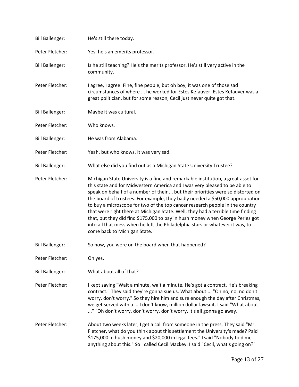| <b>Bill Ballenger:</b> | He's still there today.                                                                                                                                                                                                                                                                                                                                                                                                                                                                                                                                                                                                                                                                                   |
|------------------------|-----------------------------------------------------------------------------------------------------------------------------------------------------------------------------------------------------------------------------------------------------------------------------------------------------------------------------------------------------------------------------------------------------------------------------------------------------------------------------------------------------------------------------------------------------------------------------------------------------------------------------------------------------------------------------------------------------------|
| Peter Fletcher:        | Yes, he's an emerits professor.                                                                                                                                                                                                                                                                                                                                                                                                                                                                                                                                                                                                                                                                           |
| <b>Bill Ballenger:</b> | Is he still teaching? He's the merits professor. He's still very active in the<br>community.                                                                                                                                                                                                                                                                                                                                                                                                                                                                                                                                                                                                              |
| Peter Fletcher:        | I agree, I agree. Fine, fine people, but oh boy, it was one of those sad<br>circumstances of where  he worked for Estes Kefauver. Estes Kefauver was a<br>great politician, but for some reason, Cecil just never quite got that.                                                                                                                                                                                                                                                                                                                                                                                                                                                                         |
| <b>Bill Ballenger:</b> | Maybe it was cultural.                                                                                                                                                                                                                                                                                                                                                                                                                                                                                                                                                                                                                                                                                    |
| Peter Fletcher:        | Who knows.                                                                                                                                                                                                                                                                                                                                                                                                                                                                                                                                                                                                                                                                                                |
| <b>Bill Ballenger:</b> | He was from Alabama.                                                                                                                                                                                                                                                                                                                                                                                                                                                                                                                                                                                                                                                                                      |
| Peter Fletcher:        | Yeah, but who knows. It was very sad.                                                                                                                                                                                                                                                                                                                                                                                                                                                                                                                                                                                                                                                                     |
| <b>Bill Ballenger:</b> | What else did you find out as a Michigan State University Trustee?                                                                                                                                                                                                                                                                                                                                                                                                                                                                                                                                                                                                                                        |
| Peter Fletcher:        | Michigan State University is a fine and remarkable institution, a great asset for<br>this state and for Midwestern America and I was very pleased to be able to<br>speak on behalf of a number of their  but their priorities were so distorted on<br>the board of trustees. For example, they badly needed a \$50,000 appropriation<br>to buy a microscope for two of the top cancer research people in the country<br>that were right there at Michigan State. Well, they had a terrible time finding<br>that, but they did find \$175,000 to pay in hush money when George Perles got<br>into all that mess when he left the Philadelphia stars or whatever it was, to<br>come back to Michigan State. |
| <b>Bill Ballenger:</b> | So now, you were on the board when that happened?                                                                                                                                                                                                                                                                                                                                                                                                                                                                                                                                                                                                                                                         |
| Peter Fletcher:        | Oh yes.                                                                                                                                                                                                                                                                                                                                                                                                                                                                                                                                                                                                                                                                                                   |
| <b>Bill Ballenger:</b> | What about all of that?                                                                                                                                                                                                                                                                                                                                                                                                                                                                                                                                                                                                                                                                                   |
| Peter Fletcher:        | I kept saying "Wait a minute, wait a minute. He's got a contract. He's breaking<br>contract." They said they're gonna sue us. What about  "Oh no, no, no don't<br>worry, don't worry." So they hire him and sure enough the day after Christmas,<br>we get served with a  I don't know, million dollar lawsuit. I said "What about<br>" "Oh don't worry, don't worry, don't worry. It's all gonna go away."                                                                                                                                                                                                                                                                                               |
| Peter Fletcher:        | About two weeks later, I get a call from someone in the press. They said "Mr.<br>Fletcher, what do you think about this settlement the University's made? Paid<br>\$175,000 in hush money and \$20,000 in legal fees." I said "Nobody told me<br>anything about this." So I called Cecil Mackey. I said "Cecil, what's going on?"                                                                                                                                                                                                                                                                                                                                                                         |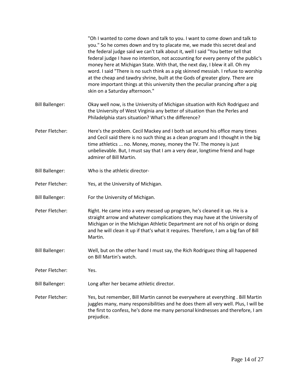|                        | "Oh I wanted to come down and talk to you. I want to come down and talk to<br>you." So he comes down and try to placate me, we made this secret deal and<br>the federal judge said we can't talk about it, well I said "You better tell that<br>federal judge I have no intention, not accounting for every penny of the public's<br>money here at Michigan State. With that, the next day, I blew it all. Oh my<br>word. I said "There is no such think as a pig skinned messiah. I refuse to worship<br>at the cheap and tawdry shrine, built at the Gods of greater glory. There are<br>more important things at this university then the peculiar prancing after a pig<br>skin on a Saturday afternoon." |
|------------------------|--------------------------------------------------------------------------------------------------------------------------------------------------------------------------------------------------------------------------------------------------------------------------------------------------------------------------------------------------------------------------------------------------------------------------------------------------------------------------------------------------------------------------------------------------------------------------------------------------------------------------------------------------------------------------------------------------------------|
| <b>Bill Ballenger:</b> | Okay well now, is the University of Michigan situation with Rich Rodriguez and<br>the University of West Virginia any better of situation than the Perles and<br>Philadelphia stars situation? What's the difference?                                                                                                                                                                                                                                                                                                                                                                                                                                                                                        |
| Peter Fletcher:        | Here's the problem. Cecil Mackey and I both sat around his office many times<br>and Cecil said there is no such thing as a clean program and I thought in the big<br>time athletics  no. Money, money, money the TV. The money is just<br>unbelievable. But, I must say that I am a very dear, longtime friend and huge<br>admirer of Bill Martin.                                                                                                                                                                                                                                                                                                                                                           |
| <b>Bill Ballenger:</b> | Who is the athletic director-                                                                                                                                                                                                                                                                                                                                                                                                                                                                                                                                                                                                                                                                                |
| Peter Fletcher:        | Yes, at the University of Michigan.                                                                                                                                                                                                                                                                                                                                                                                                                                                                                                                                                                                                                                                                          |
| <b>Bill Ballenger:</b> | For the University of Michigan.                                                                                                                                                                                                                                                                                                                                                                                                                                                                                                                                                                                                                                                                              |
| Peter Fletcher:        | Right. He came into a very messed up program, he's cleaned it up. He is a<br>straight arrow and whatever complications they may have at the University of<br>Michigan or in the Michigan Athletic Department are not of his origin or doing<br>and he will clean it up if that's what it requires. Therefore, I am a big fan of Bill<br>Martin.                                                                                                                                                                                                                                                                                                                                                              |
| <b>Bill Ballenger:</b> | Well, but on the other hand I must say, the Rich Rodriguez thing all happened<br>on Bill Martin's watch.                                                                                                                                                                                                                                                                                                                                                                                                                                                                                                                                                                                                     |
| Peter Fletcher:        | Yes.                                                                                                                                                                                                                                                                                                                                                                                                                                                                                                                                                                                                                                                                                                         |
| <b>Bill Ballenger:</b> | Long after her became athletic director.                                                                                                                                                                                                                                                                                                                                                                                                                                                                                                                                                                                                                                                                     |
| Peter Fletcher:        | Yes, but remember, Bill Martin cannot be everywhere at everything . Bill Martin<br>juggles many, many responsibilities and he does them all very well. Plus, I will be<br>the first to confess, he's done me many personal kindnesses and therefore, I am<br>prejudice.                                                                                                                                                                                                                                                                                                                                                                                                                                      |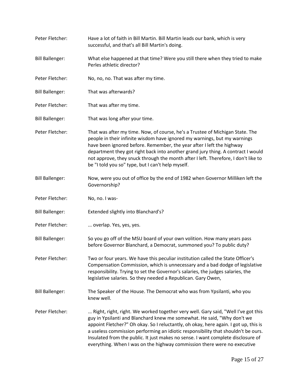| Peter Fletcher:        | Have a lot of faith in Bill Martin. Bill Martin leads our bank, which is very<br>successful, and that's all Bill Martin's doing.                                                                                                                                                                                                                                                                                                                                                                          |
|------------------------|-----------------------------------------------------------------------------------------------------------------------------------------------------------------------------------------------------------------------------------------------------------------------------------------------------------------------------------------------------------------------------------------------------------------------------------------------------------------------------------------------------------|
| <b>Bill Ballenger:</b> | What else happened at that time? Were you still there when they tried to make<br>Perles athletic director?                                                                                                                                                                                                                                                                                                                                                                                                |
| Peter Fletcher:        | No, no, no. That was after my time.                                                                                                                                                                                                                                                                                                                                                                                                                                                                       |
| <b>Bill Ballenger:</b> | That was afterwards?                                                                                                                                                                                                                                                                                                                                                                                                                                                                                      |
| Peter Fletcher:        | That was after my time.                                                                                                                                                                                                                                                                                                                                                                                                                                                                                   |
| <b>Bill Ballenger:</b> | That was long after your time.                                                                                                                                                                                                                                                                                                                                                                                                                                                                            |
| Peter Fletcher:        | That was after my time. Now, of course, he's a Trustee of Michigan State. The<br>people in their infinite wisdom have ignored my warnings, but my warnings<br>have been ignored before. Remember, the year after I left the highway<br>department they got right back into another grand jury thing. A contract I would<br>not approve, they snuck through the month after I left. Therefore, I don't like to<br>be "I told you so" type, but I can't help myself.                                        |
| <b>Bill Ballenger:</b> | Now, were you out of office by the end of 1982 when Governor Milliken left the<br>Governorship?                                                                                                                                                                                                                                                                                                                                                                                                           |
| Peter Fletcher:        | No, no. I was-                                                                                                                                                                                                                                                                                                                                                                                                                                                                                            |
| <b>Bill Ballenger:</b> | Extended slightly into Blanchard's?                                                                                                                                                                                                                                                                                                                                                                                                                                                                       |
| Peter Fletcher:        | overlap. Yes, yes, yes.                                                                                                                                                                                                                                                                                                                                                                                                                                                                                   |
| <b>Bill Ballenger:</b> | So you go off of the MSU board of your own volition. How many years pass<br>before Governor Blanchard, a Democrat, summoned you? To public duty?                                                                                                                                                                                                                                                                                                                                                          |
| Peter Fletcher:        | Two or four years. We have this peculiar institution called the State Officer's<br>Compensation Commission, which is unnecessary and a bad dodge of legislative<br>responsibility. Trying to set the Governor's salaries, the judges salaries, the<br>legislative salaries. So they needed a Republican. Gary Owen,                                                                                                                                                                                       |
| <b>Bill Ballenger:</b> | The Speaker of the House. The Democrat who was from Ypsilanti, who you<br>knew well.                                                                                                                                                                                                                                                                                                                                                                                                                      |
| Peter Fletcher:        | Right, right, right. We worked together very well. Gary said, "Well I've got this<br>guy in Ypsilanti and Blanchard knew me somewhat. He said, "Why don't we<br>appoint Fletcher?" Oh okay. So I reluctantly, oh okay, here again. I got up, this is<br>a useless commission performing an idiotic responsibility that shouldn't be ours.<br>Insulated from the public. It just makes no sense. I want complete disclosure of<br>everything. When I was on the highway commission there were no executive |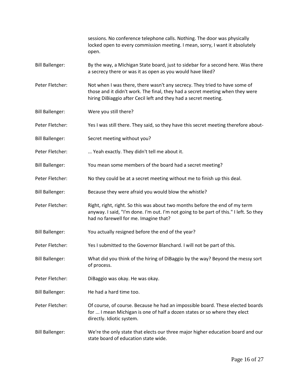sessions. No conference telephone calls. Nothing. The door was physically locked open to every commission meeting. I mean, sorry, I want it absolutely open. Bill Ballenger: By the way, a Michigan State board, just to sidebar for a second here. Was there a secrecy there or was it as open as you would have liked? Peter Fletcher: Not when I was there, there wasn't any secrecy. They tried to have some of those and it didn't work. The final, they had a secret meeting when they were hiring DiBiaggio after Cecil left and they had a secret meeting. Bill Ballenger: Were you still there? Peter Fletcher: Yes I was still there. They said, so they have this secret meeting therefore about-Bill Ballenger: Secret meeting without you? Peter Fletcher: ... Yeah exactly. They didn't tell me about it. Bill Ballenger: You mean some members of the board had a secret meeting? Peter Fletcher: No they could be at a secret meeting without me to finish up this deal. Bill Ballenger: Because they were afraid you would blow the whistle? Peter Fletcher: Right, right, right. So this was about two months before the end of my term anyway. I said, "I'm done. I'm out. I'm not going to be part of this." I left. So they had no farewell for me. Imagine that? Bill Ballenger: You actually resigned before the end of the year? Peter Fletcher: Yes I submitted to the Governor Blanchard. I will not be part of this. Bill Ballenger: What did you think of the hiring of DiBaggio by the way? Beyond the messy sort of process. Peter Fletcher: DiBaggio was okay. He was okay. Bill Ballenger: He had a hard time too. Peter Fletcher: Of course, of course. Because he had an impossible board. These elected boards for ... I mean Michigan is one of half a dozen states or so where they elect directly. Idiotic system. Bill Ballenger: We're the only state that elects our three major higher education board and our state board of education state wide.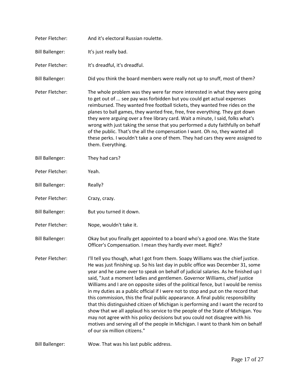| Peter Fletcher:        | And it's electoral Russian roulette.                                                                                                                                                                                                                                                                                                                                                                                                                                                                                                                                                                                                                                                                                                                                                                                                                                                                                                                                                     |
|------------------------|------------------------------------------------------------------------------------------------------------------------------------------------------------------------------------------------------------------------------------------------------------------------------------------------------------------------------------------------------------------------------------------------------------------------------------------------------------------------------------------------------------------------------------------------------------------------------------------------------------------------------------------------------------------------------------------------------------------------------------------------------------------------------------------------------------------------------------------------------------------------------------------------------------------------------------------------------------------------------------------|
| <b>Bill Ballenger:</b> | It's just really bad.                                                                                                                                                                                                                                                                                                                                                                                                                                                                                                                                                                                                                                                                                                                                                                                                                                                                                                                                                                    |
| Peter Fletcher:        | It's dreadful, it's dreadful.                                                                                                                                                                                                                                                                                                                                                                                                                                                                                                                                                                                                                                                                                                                                                                                                                                                                                                                                                            |
| <b>Bill Ballenger:</b> | Did you think the board members were really not up to snuff, most of them?                                                                                                                                                                                                                                                                                                                                                                                                                                                                                                                                                                                                                                                                                                                                                                                                                                                                                                               |
| Peter Fletcher:        | The whole problem was they were far more interested in what they were going<br>to get out of  see pay was forbidden but you could get actual expenses<br>reimbursed. They wanted free football tickets, they wanted free rides on the<br>planes to ball games, they wanted free, free, free everything. They got down<br>they were arguing over a free library card. Wait a minute, I said, folks what's<br>wrong with just taking the sense that you performed a duty faithfully on behalf<br>of the public. That's the all the compensation I want. Oh no, they wanted all<br>these perks. I wouldn't take a one of them. They had cars they were assigned to<br>them. Everything.                                                                                                                                                                                                                                                                                                     |
| <b>Bill Ballenger:</b> | They had cars?                                                                                                                                                                                                                                                                                                                                                                                                                                                                                                                                                                                                                                                                                                                                                                                                                                                                                                                                                                           |
| Peter Fletcher:        | Yeah.                                                                                                                                                                                                                                                                                                                                                                                                                                                                                                                                                                                                                                                                                                                                                                                                                                                                                                                                                                                    |
| <b>Bill Ballenger:</b> | Really?                                                                                                                                                                                                                                                                                                                                                                                                                                                                                                                                                                                                                                                                                                                                                                                                                                                                                                                                                                                  |
| Peter Fletcher:        | Crazy, crazy.                                                                                                                                                                                                                                                                                                                                                                                                                                                                                                                                                                                                                                                                                                                                                                                                                                                                                                                                                                            |
| <b>Bill Ballenger:</b> | But you turned it down.                                                                                                                                                                                                                                                                                                                                                                                                                                                                                                                                                                                                                                                                                                                                                                                                                                                                                                                                                                  |
| Peter Fletcher:        | Nope, wouldn't take it.                                                                                                                                                                                                                                                                                                                                                                                                                                                                                                                                                                                                                                                                                                                                                                                                                                                                                                                                                                  |
| <b>Bill Ballenger:</b> | Okay but you finally get appointed to a board who's a good one. Was the State<br>Officer's Compensation. I mean they hardly ever meet. Right?                                                                                                                                                                                                                                                                                                                                                                                                                                                                                                                                                                                                                                                                                                                                                                                                                                            |
| Peter Fletcher:        | I'll tell you though, what I got from them. Soapy Williams was the chief justice.<br>He was just finishing up. So his last day in public office was December 31, some<br>year and he came over to speak on behalf of judicial salaries. As he finished up I<br>said, "Just a moment ladies and gentlemen. Governor Williams, chief justice<br>Williams and I are on opposite sides of the political fence, but I would be remiss<br>in my duties as a public official if I were not to stop and put on the record that<br>this commission, this the final public appearance. A final public responsibility<br>that this distinguished citizen of Michigan is performing and I want the record to<br>show that we all applaud his service to the people of the State of Michigan. You<br>may not agree with his policy decisions but you could not disagree with his<br>motives and serving all of the people in Michigan. I want to thank him on behalf<br>of our six million citizens." |
| <b>Bill Ballenger:</b> | Wow. That was his last public address.                                                                                                                                                                                                                                                                                                                                                                                                                                                                                                                                                                                                                                                                                                                                                                                                                                                                                                                                                   |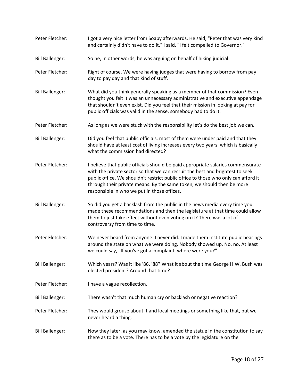| Peter Fletcher:        | I got a very nice letter from Soapy afterwards. He said, "Peter that was very kind<br>and certainly didn't have to do it." I said, "I felt compelled to Governor."                                                                                                                                                                                                               |
|------------------------|----------------------------------------------------------------------------------------------------------------------------------------------------------------------------------------------------------------------------------------------------------------------------------------------------------------------------------------------------------------------------------|
| <b>Bill Ballenger:</b> | So he, in other words, he was arguing on behalf of hiking judicial.                                                                                                                                                                                                                                                                                                              |
| Peter Fletcher:        | Right of course. We were having judges that were having to borrow from pay<br>day to pay day and that kind of stuff.                                                                                                                                                                                                                                                             |
| <b>Bill Ballenger:</b> | What did you think generally speaking as a member of that commission? Even<br>thought you felt it was an unnecessary administrative and executive appendage<br>that shouldn't even exist. Did you feel that their mission in looking at pay for<br>public officials was valid in the sense, somebody had to do it.                                                               |
| Peter Fletcher:        | As long as we were stuck with the responsibility let's do the best job we can.                                                                                                                                                                                                                                                                                                   |
| <b>Bill Ballenger:</b> | Did you feel that public officials, most of them were under paid and that they<br>should have at least cost of living increases every two years, which is basically<br>what the commission had directed?                                                                                                                                                                         |
| Peter Fletcher:        | I believe that public officials should be paid appropriate salaries commensurate<br>with the private sector so that we can recruit the best and brightest to seek<br>public office. We shouldn't restrict public office to those who only can afford it<br>through their private means. By the same token, we should then be more<br>responsible in who we put in those offices. |
| <b>Bill Ballenger:</b> | So did you get a backlash from the public in the news media every time you<br>made these recommendations and then the legislature at that time could allow<br>them to just take effect without even voting on it? There was a lot of<br>controversy from time to time.                                                                                                           |
| Peter Fletcher:        | We never heard from anyone. I never did. I made them institute public hearings<br>around the state on what we were doing. Nobody showed up. No, no. At least<br>we could say, "If you've got a complaint, where were you?"                                                                                                                                                       |
| <b>Bill Ballenger:</b> | Which years? Was it like '86, '88? What it about the time George H.W. Bush was<br>elected president? Around that time?                                                                                                                                                                                                                                                           |
| Peter Fletcher:        | I have a vague recollection.                                                                                                                                                                                                                                                                                                                                                     |
| <b>Bill Ballenger:</b> | There wasn't that much human cry or backlash or negative reaction?                                                                                                                                                                                                                                                                                                               |
| Peter Fletcher:        | They would grouse about it and local meetings or something like that, but we<br>never heard a thing.                                                                                                                                                                                                                                                                             |
| <b>Bill Ballenger:</b> | Now they later, as you may know, amended the statue in the constitution to say<br>there as to be a vote. There has to be a vote by the legislature on the                                                                                                                                                                                                                        |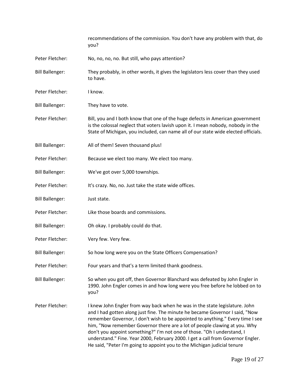recommendations of the commission. You don't have any problem with that, do you? Peter Fletcher: No, no, no, no. But still, who pays attention? Bill Ballenger: They probably, in other words, it gives the legislators less cover than they used to have. Peter Fletcher: I know. Bill Ballenger: They have to vote. Peter Fletcher: Bill, you and I both know that one of the huge defects in American government is the colossal neglect that voters lavish upon it. I mean nobody, nobody in the State of Michigan, you included, can name all of our state wide elected officials. Bill Ballenger: All of them! Seven thousand plus! Peter Fletcher: Because we elect too many. We elect too many. Bill Ballenger: We've got over 5,000 townships. Peter Fletcher: It's crazy. No, no. Just take the state wide offices. Bill Ballenger: Just state. Peter Fletcher: Like those boards and commissions. Bill Ballenger: Oh okay. I probably could do that. Peter Fletcher: Very few. Very few. Bill Ballenger: So how long were you on the State Officers Compensation? Peter Fletcher: Four years and that's a term limited thank goodness. Bill Ballenger: So when you got off, then Governor Blanchard was defeated by John Engler in 1990. John Engler comes in and how long were you free before he lobbed on to you? Peter Fletcher: I knew John Engler from way back when he was in the state legislature. John and I had gotten along just fine. The minute he became Governor I said, "Now remember Governor, I don't wish to be appointed to anything." Every time I see him, "Now remember Governor there are a lot of people clawing at you. Why don't you appoint something?" I'm not one of those. "Oh I understand, I understand." Fine. Year 2000, February 2000. I get a call from Governor Engler. He said, "Peter I'm going to appoint you to the Michigan judicial tenure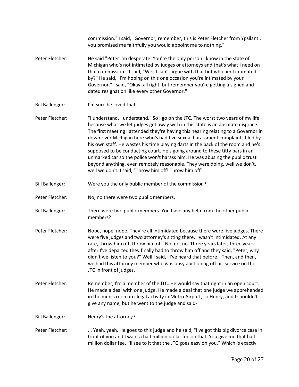commission." I said, "Governor, remember, this is Peter Fletcher from Ypsilanti, you promised me faithfully you would appoint me to nothing."

- Peter Fletcher: He said "Peter I'm desperate. You're the only person I know in the state of Michigan who's not intimated by judges or attorneys and that's what I need on that commission." I said, "Well I can't argue with that but who am I intimated by?" He said, "I'm hoping on this one occasion you're intimated by your Governor." I said, "Okay, all right, but remember you're getting a signed and dated resignation like every other Governor."
- Bill Ballenger: I'm sure he loved that.

Peter Fletcher: "I understand, I understand." So I go on the JTC. The worst two years of my life because what we let judges get away with in this state is an absolute disgrace. The first meeting I attended they're having this hearing relating to a Governor in down river Michigan here who's had five sexual harassment complaints filed by his own staff. He wastes his time playing darts in the back of the room and he's supposed to be conducting court. He's going around to these titty bars in an unmarked car so the police won't harass him. He was abusing the public trust beyond anything, even remotely reasonable. They were doing, well we don't, well we don't. I said, "Throw him off! Throw him off"

- Bill Ballenger: Were you the only public member of the commission?
- Peter Fletcher: No, no there were two public members.
- Bill Ballenger: There were two public members. You have any help from the other public members?
- Peter Fletcher: Nope, nope, nope. They're all intimidated because there were five judges. There were five judges and two attorney's sitting there. I wasn't intimidated. At any rate, throw him off, throw him off! No, no, no. Three years later, three years after I've departed they finally had to throw him off and they said, "Peter, why didn't we listen to you?" Well I said, "I've heard that before." Then, and then, we had this attorney member who was busy auctioning off his service on the JTC in front of judges.
- Peter Fletcher: Remember, I'm a member of the JTC. He would say that right in an open court. He made a deal with one judge. He made a deal that one judge we apprehended in the men's room in illegal activity in Metro Airport, so Henry, and I shouldn't give any name, but he went to the judge and said-
- Bill Ballenger: Henry's the attorney?
- Peter Fletcher: ... Yeah, yeah. He goes to this judge and he said, "I've got this big divorce case in front of you and I want a half million dollar fee on that. You give me that half million dollar fee, I'll see to it that the JTC goes easy on you." Which is exactly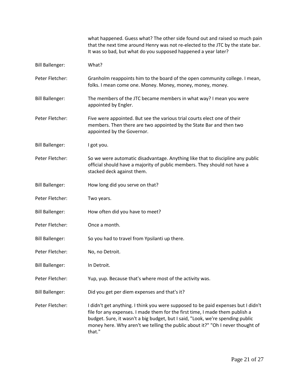what happened. Guess what? The other side found out and raised so much pain that the next time around Henry was not re-elected to the JTC by the state bar. It was so bad, but what do you supposed happened a year later?

- Bill Ballenger: What?
- Peter Fletcher: Granholm reappoints him to the board of the open community college. I mean, folks. I mean come one. Money. Money, money, money, money.
- Bill Ballenger: The members of the JTC became members in what way? I mean you were appointed by Engler.
- Peter Fletcher: Five were appointed. But see the various trial courts elect one of their members. Then there are two appointed by the State Bar and then two appointed by the Governor.
- Bill Ballenger: I got you.
- Peter Fletcher: So we were automatic disadvantage. Anything like that to discipline any public official should have a majority of public members. They should not have a stacked deck against them.
- Bill Ballenger: How long did you serve on that?
- Peter Fletcher: Two years.
- Bill Ballenger: How often did you have to meet?
- Peter Fletcher: Once a month.
- Bill Ballenger: So you had to travel from Ypsilanti up there.
- Peter Fletcher: No, no Detroit.
- Bill Ballenger: In Detroit.
- Peter Fletcher: Yup, yup. Because that's where most of the activity was.
- Bill Ballenger: Did you get per diem expenses and that's it?

Peter Fletcher: I didn't get anything. I think you were supposed to be paid expenses but I didn't file for any expenses. I made them for the first time, I made them publish a budget. Sure, it wasn't a big budget, but I said, "Look, we're spending public money here. Why aren't we telling the public about it?" "Oh I never thought of that."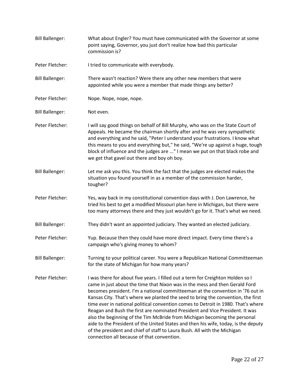| <b>Bill Ballenger:</b> | What about Engler? You must have communicated with the Governor at some<br>point saying, Governor, you just don't realize how bad this particular<br>commission is?                                                                                                                                                                                                                                                                                                                                                                                                                                                                                                                                                                                                                                    |
|------------------------|--------------------------------------------------------------------------------------------------------------------------------------------------------------------------------------------------------------------------------------------------------------------------------------------------------------------------------------------------------------------------------------------------------------------------------------------------------------------------------------------------------------------------------------------------------------------------------------------------------------------------------------------------------------------------------------------------------------------------------------------------------------------------------------------------------|
| Peter Fletcher:        | I tried to communicate with everybody.                                                                                                                                                                                                                                                                                                                                                                                                                                                                                                                                                                                                                                                                                                                                                                 |
| <b>Bill Ballenger:</b> | There wasn't reaction? Were there any other new members that were<br>appointed while you were a member that made things any better?                                                                                                                                                                                                                                                                                                                                                                                                                                                                                                                                                                                                                                                                    |
| Peter Fletcher:        | Nope. Nope, nope, nope.                                                                                                                                                                                                                                                                                                                                                                                                                                                                                                                                                                                                                                                                                                                                                                                |
| <b>Bill Ballenger:</b> | Not even.                                                                                                                                                                                                                                                                                                                                                                                                                                                                                                                                                                                                                                                                                                                                                                                              |
| Peter Fletcher:        | I will say good things on behalf of Bill Murphy, who was on the State Court of<br>Appeals. He became the chairman shortly after and he was very sympathetic<br>and everything and he said, "Peter I understand your frustrations. I know what<br>this means to you and everything but," he said, "We're up against a huge, tough<br>block of influence and the judges are " I mean we put on that black robe and<br>we get that gavel out there and boy oh boy.                                                                                                                                                                                                                                                                                                                                        |
| <b>Bill Ballenger:</b> | Let me ask you this. You think the fact that the judges are elected makes the<br>situation you found yourself in as a member of the commission harder,<br>tougher?                                                                                                                                                                                                                                                                                                                                                                                                                                                                                                                                                                                                                                     |
| Peter Fletcher:        | Yes, way back in my constitutional convention days with J. Don Lawrence, he<br>tried his best to get a modified Missouri plan here in Michigan, but there were<br>too many attorneys there and they just wouldn't go for it. That's what we need.                                                                                                                                                                                                                                                                                                                                                                                                                                                                                                                                                      |
| <b>Bill Ballenger:</b> | They didn't want an appointed judiciary. They wanted an elected judiciary.                                                                                                                                                                                                                                                                                                                                                                                                                                                                                                                                                                                                                                                                                                                             |
| Peter Fletcher:        | Yup. Because then they could have more direct impact. Every time there's a<br>campaign who's giving money to whom?                                                                                                                                                                                                                                                                                                                                                                                                                                                                                                                                                                                                                                                                                     |
| <b>Bill Ballenger:</b> | Turning to your political career. You were a Republican National Committeeman<br>for the state of Michigan for how many years?                                                                                                                                                                                                                                                                                                                                                                                                                                                                                                                                                                                                                                                                         |
| Peter Fletcher:        | I was there for about five years. I filled out a term for Creighton Holden so I<br>came in just about the time that Nixon was in the mess and then Gerald Ford<br>becomes president. I'm a national committeeman at the convention in '76 out in<br>Kansas City. That's where we planted the seed to bring the convention, the first<br>time ever in national political convention comes to Detroit in 1980. That's where<br>Reagan and Bush the first are nominated President and Vice President. It was<br>also the beginning of the Tim McBride from Michigan becoming the personal<br>aide to the President of the United States and then his wife, today, is the deputy<br>of the president and chief of staff to Laura Bush. All with the Michigan<br>connection all because of that convention. |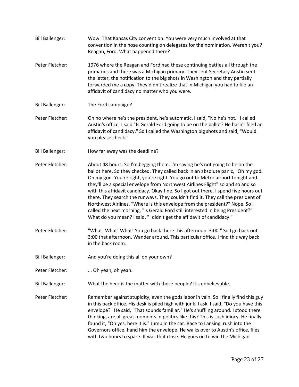Bill Ballenger: Wow. That Kansas City convention. You were very much involved at that convention in the nose counting on delegates for the nomination. Weren't you? Reagan, Ford. What happened there? Peter Fletcher: 1976 where the Reagan and Ford had these continuing battles all through the primaries and there was a Michigan primary. They sent Secretary Austin sent the letter, the notification to the big shots in Washington and they partially forwarded me a copy. They didn't realize that in Michigan you had to file an affidavit of candidacy no matter who you were. Bill Ballenger: The Ford campaign? Peter Fletcher: Oh no where he's the president, he's automatic. I said, "No he's not." I called Austin's office. I said "Is Gerald Ford going to be on the ballot? He hasn't filed an affidavit of candidacy." So I called the Washington big shots and said, "Would you please check." Bill Ballenger: How far away was the deadline? Peter Fletcher: About 48 hours. So I'm begging them. I'm saying he's not going to be on the ballot here. So they checked. They called back in an absolute panic, "Oh my god. Oh my god. You're right, you're right. You go out to Metro airport tonight and they'll be a special envelope from Northwest Airlines Flight" so and so and so with this affidavit candidacy. Okay fine. So I got out there. I spend five hours out there. They search the runways. They couldn't find it. They call the president of Northwest Airlines, "Where is this envelope from the president?" Nope. So I called the next morning, "Is Gerald Ford still interested in being President?" What do you mean? I said, "I didn't get the affidavit of candidacy." Peter Fletcher: "What! What! What! You go back there this afternoon. 3:00." So I go back out 3:00 that afternoon. Wander around. This particular office. I find this way back in the back room. Bill Ballenger: And you're doing this all on your own? Peter Fletcher: ... Oh yeah, oh yeah. Bill Ballenger: What the heck is the matter with these people? It's unbelievable. Peter Fletcher: Remember against stupidity, even the gods labor in vain. So I finally find this guy in this back office. His desk is piled high with junk. I ask, I said, "Do you have this envelope?" He said, "That sounds familiar." He's shuffling around. I stood there thinking, are all great moments in politics like this? This is such idiocy. He finally found it, "Oh yes, here it is." Jump in the car. Race to Lansing, rush into the Governors office, hand him the envelope. He walks over to Austin's office, files with two hours to spare. It was that close. He goes on to win the Michigan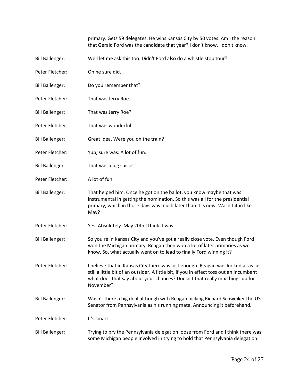primary. Gets 59 delegates. He wins Kansas City by 50 votes. Am I the reason that Gerald Ford was the candidate that year? I don't know. I don't know.

Bill Ballenger: Well let me ask this too. Didn't Ford also do a whistle stop tour? Peter Fletcher: Oh he sure did. Bill Ballenger: Do you remember that? Peter Fletcher: That was Jerry Roe. Bill Ballenger: That was Jerry Roe? Peter Fletcher: That was wonderful. Bill Ballenger: Great idea. Were you on the train? Peter Fletcher: Yup, sure was. A lot of fun. Bill Ballenger: That was a big success. Peter Fletcher: A lot of fun. Bill Ballenger: That helped him. Once he got on the ballot, you know maybe that was instrumental in getting the nomination. So this was all for the presidential primary, which in those days was much later than it is now. Wasn't it in like May? Peter Fletcher: Yes. Absolutely. May 20th I think it was. Bill Ballenger: So you're in Kansas City and you've got a really close vote. Even though Ford won the Michigan primary, Reagan then won a lot of later primaries as we know. So, what actually went on to lead to finally Ford winning it? Peter Fletcher: I believe that in Kansas City there was just enough. Reagan was looked at as just still a little bit of an outsider. A little bit, if you in effect toss out an incumbent what does that say about your chances? Doesn't that really mix things up for November? Bill Ballenger: Wasn't there a big deal although with Reagan picking Richard Schweiker the US Senator from Pennsylvania as his running mate. Announcing it beforehand. Peter Fletcher: It's smart. Bill Ballenger: Trying to pry the Pennsylvania delegation loose from Ford and I think there was some Michigan people involved in trying to hold that Pennsylvania delegation.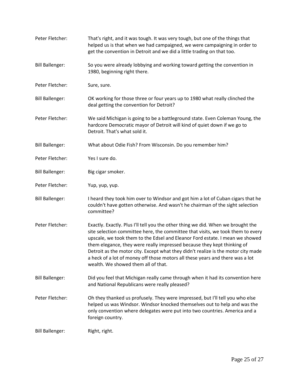| Peter Fletcher:        | That's right, and it was tough. It was very tough, but one of the things that<br>helped us is that when we had campaigned, we were campaigning in order to<br>get the convention in Detroit and we did a little trading on that too.                                                                                                                                                                                                                                                                                                        |
|------------------------|---------------------------------------------------------------------------------------------------------------------------------------------------------------------------------------------------------------------------------------------------------------------------------------------------------------------------------------------------------------------------------------------------------------------------------------------------------------------------------------------------------------------------------------------|
| <b>Bill Ballenger:</b> | So you were already lobbying and working toward getting the convention in<br>1980, beginning right there.                                                                                                                                                                                                                                                                                                                                                                                                                                   |
| Peter Fletcher:        | Sure, sure.                                                                                                                                                                                                                                                                                                                                                                                                                                                                                                                                 |
| <b>Bill Ballenger:</b> | OK working for those three or four years up to 1980 what really clinched the<br>deal getting the convention for Detroit?                                                                                                                                                                                                                                                                                                                                                                                                                    |
| Peter Fletcher:        | We said Michigan is going to be a battleground state. Even Coleman Young, the<br>hardcore Democratic mayor of Detroit will kind of quiet down if we go to<br>Detroit. That's what sold it.                                                                                                                                                                                                                                                                                                                                                  |
| <b>Bill Ballenger:</b> | What about Odie Fish? From Wisconsin. Do you remember him?                                                                                                                                                                                                                                                                                                                                                                                                                                                                                  |
| Peter Fletcher:        | Yes I sure do.                                                                                                                                                                                                                                                                                                                                                                                                                                                                                                                              |
| <b>Bill Ballenger:</b> | Big cigar smoker.                                                                                                                                                                                                                                                                                                                                                                                                                                                                                                                           |
| Peter Fletcher:        | Yup, yup, yup.                                                                                                                                                                                                                                                                                                                                                                                                                                                                                                                              |
| <b>Bill Ballenger:</b> | I heard they took him over to Windsor and got him a lot of Cuban cigars that he<br>couldn't have gotten otherwise. And wasn't he chairman of the sight selection<br>committee?                                                                                                                                                                                                                                                                                                                                                              |
| Peter Fletcher:        | Exactly. Exactly. Plus I'll tell you the other thing we did. When we brought the<br>site selection committee here, the committee that visits, we took them to every<br>upscale, we took them to the Edsel and Eleanor Ford estate. I mean we showed<br>them elegance, they were really impressed because they kept thinking of<br>Detroit as the motor city. Except what they didn't realize is the motor city made<br>a heck of a lot of money off those motors all these years and there was a lot<br>wealth. We showed them all of that. |
| <b>Bill Ballenger:</b> | Did you feel that Michigan really came through when it had its convention here<br>and National Republicans were really pleased?                                                                                                                                                                                                                                                                                                                                                                                                             |
| Peter Fletcher:        | Oh they thanked us profusely. They were impressed, but I'll tell you who else<br>helped us was Windsor. Windsor knocked themselves out to help and was the<br>only convention where delegates were put into two countries. America and a<br>foreign country.                                                                                                                                                                                                                                                                                |
| <b>Bill Ballenger:</b> | Right, right.                                                                                                                                                                                                                                                                                                                                                                                                                                                                                                                               |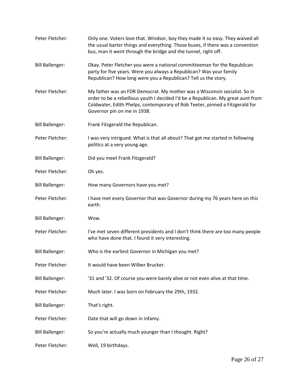| Peter Fletcher:        | Only one. Voters love that. Windsor, boy they made it so easy. They waived all<br>the usual barter things and everything. Those buses, if there was a convention<br>bus, man it went through the bridge and the tunnel, right off.                                           |
|------------------------|------------------------------------------------------------------------------------------------------------------------------------------------------------------------------------------------------------------------------------------------------------------------------|
| <b>Bill Ballenger:</b> | Okay. Peter Fletcher you were a national committeeman for the Republican<br>party for five years. Were you always a Republican? Was your family<br>Republican? How long were you a Republican? Tell us the story.                                                            |
| Peter Fletcher:        | My father was an FDR Democrat. My mother was a Wisconsin socialist. So in<br>order to be a rebellious youth I decided I'd be a Republican. My great aunt from<br>Coldwater, Edith Phelps, contemporary of Rob Teeter, pinned a Fitzgerald for<br>Governor pin on me in 1938. |
| <b>Bill Ballenger:</b> | Frank Fitzgerald the Republican.                                                                                                                                                                                                                                             |
| Peter Fletcher:        | I was very intrigued. What is that all about? That got me started in following<br>politics at a very young age.                                                                                                                                                              |
| <b>Bill Ballenger:</b> | Did you meet Frank Fitzgerald?                                                                                                                                                                                                                                               |
| Peter Fletcher:        | Oh yes.                                                                                                                                                                                                                                                                      |
| <b>Bill Ballenger:</b> | How many Governors have you met?                                                                                                                                                                                                                                             |
| Peter Fletcher:        | I have met every Governor that was Governor during my 76 years here on this<br>earth.                                                                                                                                                                                        |
| <b>Bill Ballenger:</b> | Wow.                                                                                                                                                                                                                                                                         |
| Peter Fletcher:        | I've met seven different presidents and I don't think there are too many people<br>who have done that. I found it very interesting.                                                                                                                                          |
| <b>Bill Ballenger:</b> | Who is the earliest Governor in Michigan you met?                                                                                                                                                                                                                            |
| Peter Fletcher:        | It would have been Wilber Brucker.                                                                                                                                                                                                                                           |
| <b>Bill Ballenger:</b> | '31 and '32. Of course you were barely alive or not even alive at that time.                                                                                                                                                                                                 |
| Peter Fletcher:        | Much later. I was born on February the 29th, 1932.                                                                                                                                                                                                                           |
| <b>Bill Ballenger:</b> | That's right.                                                                                                                                                                                                                                                                |
| Peter Fletcher:        | Date that will go down in infamy.                                                                                                                                                                                                                                            |
| <b>Bill Ballenger:</b> | So you're actually much younger than I thought. Right?                                                                                                                                                                                                                       |
| Peter Fletcher:        | Well, 19 birthdays.                                                                                                                                                                                                                                                          |